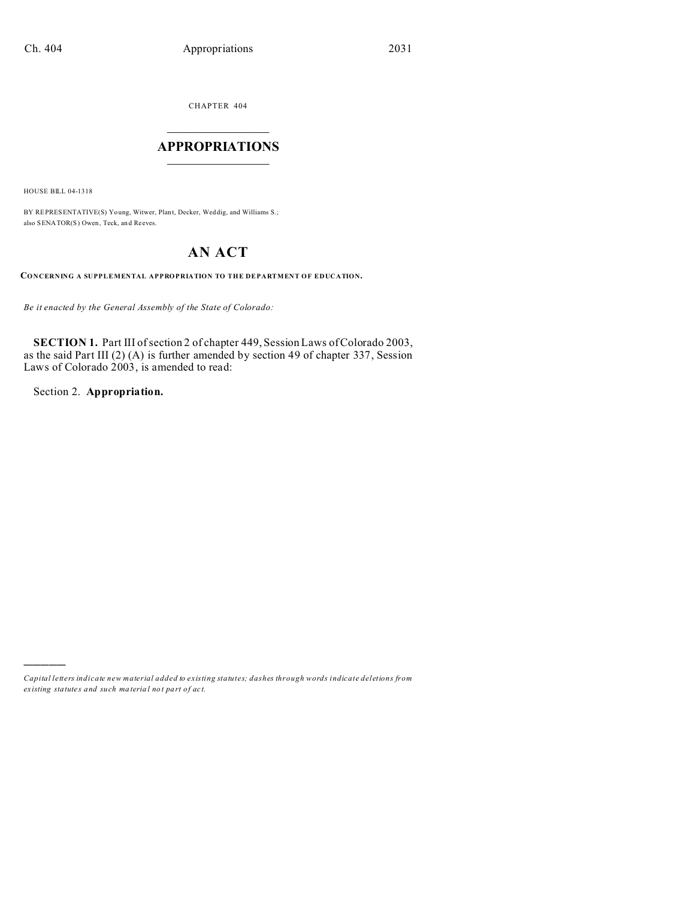CHAPTER 404  $\overline{\phantom{a}}$  , where  $\overline{\phantom{a}}$ 

## **APPROPRIATIONS**  $\_$   $\_$   $\_$   $\_$   $\_$   $\_$   $\_$   $\_$   $\_$

HOUSE BILL 04-1318

)))))

BY REPRESENTATIVE(S) Yo ung, Witwer, Plant, Decker, Weddig, and Williams S.; also SENATOR(S) Owen, Teck, an d Reeves.

# **AN ACT**

**CONCERNING A SUPPLEMENTAL APPROPRIATION TO THE DEPARTMENT OF EDUCATION.**

*Be it enacted by the General Assembly of the State of Colorado:*

**SECTION 1.** Part III of section 2 of chapter 449, Session Laws of Colorado 2003, as the said Part III (2) (A) is further amended by section 49 of chapter 337, Session Laws of Colorado 2003, is amended to read:

Section 2. **Appropriation.**

*Capital letters indicate new material added to existing statutes; dashes through words indicate deletions from ex isting statute s and such ma teria l no t pa rt of ac t.*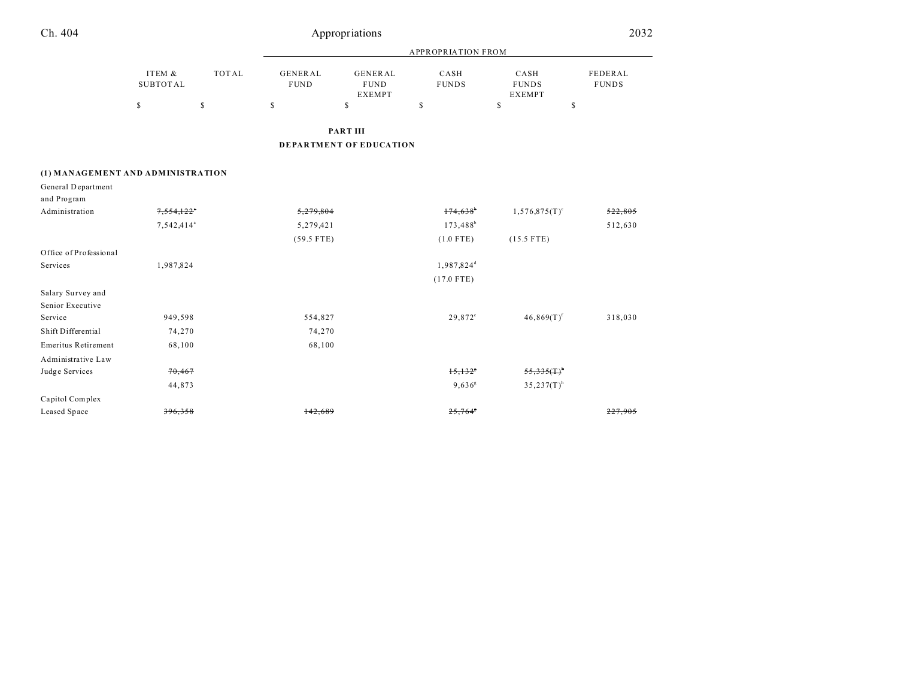| Ch. 404                           |                           |              |                               | Appropriations                                 |                        |                                       | 2032                    |  |
|-----------------------------------|---------------------------|--------------|-------------------------------|------------------------------------------------|------------------------|---------------------------------------|-------------------------|--|
|                                   |                           |              |                               | <b>APPROPRIATION FROM</b>                      |                        |                                       |                         |  |
|                                   | ITEM &<br><b>SUBTOTAL</b> | <b>TOTAL</b> | <b>GENERAL</b><br><b>FUND</b> | <b>GENERAL</b><br><b>FUND</b><br><b>EXEMPT</b> | CASH<br><b>FUNDS</b>   | CASH<br><b>FUNDS</b><br><b>EXEMPT</b> | FEDERAL<br><b>FUNDS</b> |  |
|                                   | \$                        | $\mathsf S$  | $\mathbb{S}$                  | $\mathsf S$                                    | $\mathbb{S}$           | \$                                    | $\mathbb{S}$            |  |
|                                   |                           |              |                               | <b>PART III</b>                                |                        |                                       |                         |  |
|                                   |                           |              |                               | <b>DEPARTMENT OF EDUCATION</b>                 |                        |                                       |                         |  |
| (1) MANAGEMENT AND ADMINISTRATION |                           |              |                               |                                                |                        |                                       |                         |  |
| General Department                |                           |              |                               |                                                |                        |                                       |                         |  |
| and Program                       |                           |              |                               |                                                |                        |                                       |                         |  |
| Administration                    | 7,554,122                 |              | 5,279,804                     |                                                | 174,638                | $1,576,875(T)^c$                      | 522,805                 |  |
|                                   | 7,542,414 <sup>a</sup>    |              | 5,279,421                     |                                                | $173,488^b$            |                                       | 512,630                 |  |
|                                   |                           |              | $(59.5$ FTE)                  |                                                | $(1.0$ FTE)            | $(15.5$ FTE)                          |                         |  |
| Office of Professional            |                           |              |                               |                                                |                        |                                       |                         |  |
| Services                          | 1,987,824                 |              |                               |                                                | 1,987,824 <sup>d</sup> |                                       |                         |  |
|                                   |                           |              |                               |                                                | $(17.0$ FTE)           |                                       |                         |  |
| Salary Survey and                 |                           |              |                               |                                                |                        |                                       |                         |  |
| Senior Executive                  |                           |              |                               |                                                |                        |                                       |                         |  |
| Service                           | 949,598                   |              | 554,827                       |                                                | 29,872 <sup>c</sup>    | $46,869(T)^f$                         | 318,030                 |  |
| Shift Differential                | 74,270                    |              | 74,270                        |                                                |                        |                                       |                         |  |
| <b>Emeritus Retirement</b>        | 68,100                    |              | 68,100                        |                                                |                        |                                       |                         |  |
| Administrative Law                |                           |              |                               |                                                |                        |                                       |                         |  |
| Judge Services                    | 70,467                    |              |                               |                                                | 15,132                 | 55,335(1)                             |                         |  |
|                                   | 44,873                    |              |                               |                                                | $9,636$ <sup>g</sup>   | $35,237(T)$ <sup>h</sup>              |                         |  |
| Capitol Complex                   |                           |              |                               |                                                |                        |                                       |                         |  |
| Leased Space                      | 396.358                   |              | 142.689                       |                                                | $25.764$ <sup>*</sup>  |                                       | 227.905                 |  |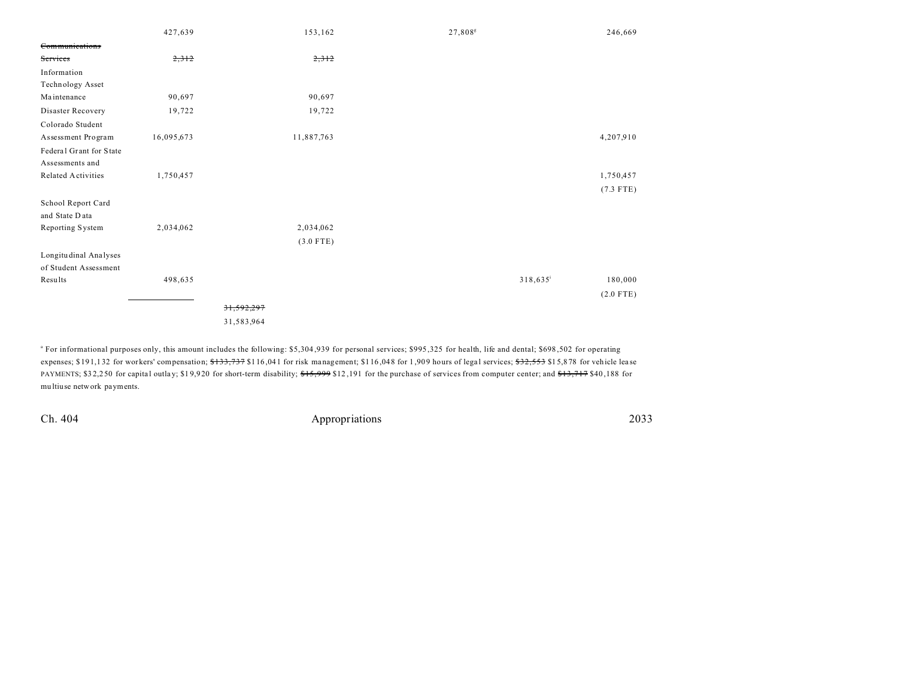|                         | 427,639    | 153,162     | 27,808 <sup>s</sup> |         | 246,669     |
|-------------------------|------------|-------------|---------------------|---------|-------------|
| Communications          |            |             |                     |         |             |
| Services                | 2,312      | 2,312       |                     |         |             |
| Information             |            |             |                     |         |             |
| Technology Asset        |            |             |                     |         |             |
| Maintenance             | 90,697     | 90,697      |                     |         |             |
| Disaster Recovery       | 19,722     | 19,722      |                     |         |             |
| Colorado Student        |            |             |                     |         |             |
| Assessment Program      | 16,095,673 | 11,887,763  |                     |         | 4,207,910   |
| Federal Grant for State |            |             |                     |         |             |
| Assessments and         |            |             |                     |         |             |
| Related Activities      | 1,750,457  |             |                     |         | 1,750,457   |
|                         |            |             |                     |         | $(7.3$ FTE) |
| School Report Card      |            |             |                     |         |             |
| and State Data          |            |             |                     |         |             |
| Reporting System        | 2,034,062  | 2,034,062   |                     |         |             |
|                         |            | $(3.0$ FTE) |                     |         |             |
| Longitudinal Analyses   |            |             |                     |         |             |
| of Student Assessment   |            |             |                     |         |             |
| Results                 | 498,635    |             |                     | 318,635 | 180,000     |
|                         |            |             |                     |         | $(2.0$ FTE) |
|                         |            | 31,592,297  |                     |         |             |
|                         |            | 31,583,964  |                     |         |             |

a For informational purposes only, this amount includes the following: \$5,304 ,939 for personal services; \$995 ,325 for health, life and dental; \$698 ,502 for operating expenses; \$191,132 for workers' compensation; \$133,737 \$116,041 for risk management; \$116,048 for 1,909 hours of legal services; \$32,553 \$15,878 for vehicle lease PAYMENTS; \$32,250 for capital outlay; \$19,920 for short-term disability;  $f=5,999$  \$12,191 for the purchase of services from computer center; and  $f=3,717$  \$40,188 for mu ltiuse network payments.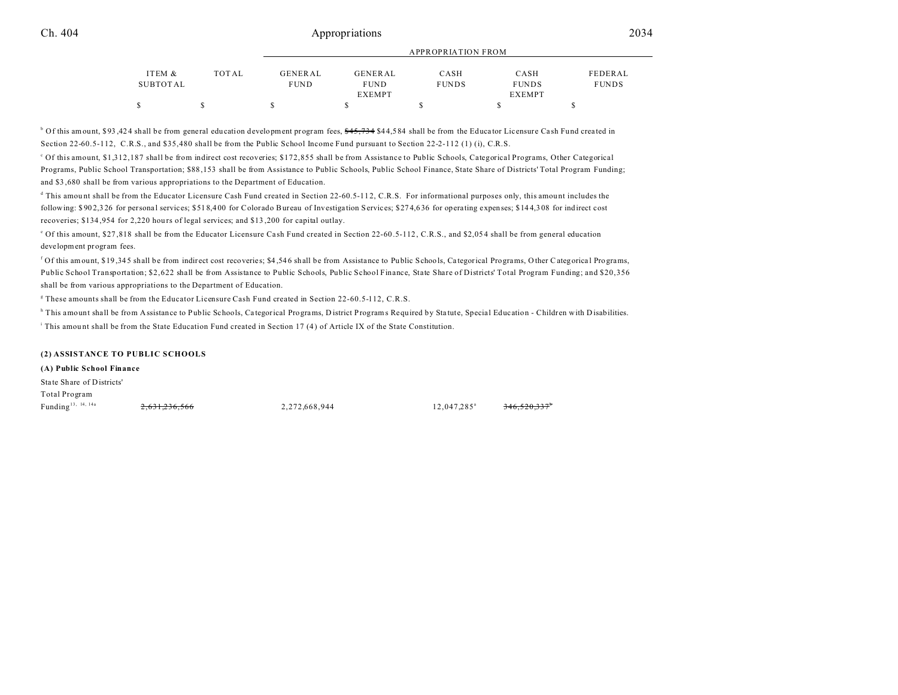## Ch. 404 Appropriations 2034

|          |       |             | ALL NUENIA LIUIN FRUM |              |               |              |  |  |
|----------|-------|-------------|-----------------------|--------------|---------------|--------------|--|--|
| ITEM &   | TOTAL | GENERAL     | GENERAL               | CASH         | CASH          | FEDERAL      |  |  |
|          |       |             |                       |              |               |              |  |  |
| SUBTOTAL |       | <b>FUND</b> | <b>FUND</b>           | <b>FUNDS</b> | <b>FUNDS</b>  | <b>FUNDS</b> |  |  |
|          |       |             | <b>EXEMPT</b>         |              | <b>EXEMPT</b> |              |  |  |
| S        |       |             |                       |              |               |              |  |  |

APPROPRIATION FROM

<sup>b</sup> Of this amount, \$93,424 shall be from general education development program fees, <del>\$45,734</del> \$44,584 shall be from the Educator Licensure Cash Fund created in Section 22-60.5-112, C.R.S., and \$35,480 shall be from the Public School Income Fund pursuant to Section 22-2-112 (1) (i), C.R.S.

<sup>c</sup> Of this amount, \$1,312,187 shall be from indirect cost recoveries; \$172,855 shall be from Assistance to Public Schools, Categorical Programs, Other Categorical Programs, Public School Transportation; \$88,153 shall be from Assistance to Public Schools, Public School Finance, State Share of Districts' Total Program Funding; and \$3 ,680 shall be from various appropriations to the Department of Education.

<sup>d</sup> This amount shall be from the Educator Licensure Cash Fund created in Section 22-60.5-112, C.R.S. For informational purposes only, this amount includes the following: \$ 90 2,3 26 for persona l services; \$51 8,4 00 for Colorado Bureau of Investiga tion Services; \$27 4,6 36 for operating expenses; \$14 4,3 08 for indirect cost recoveries; \$134,954 for 2,220 hours of legal services; and \$13,200 for capital outlay.

<sup>e</sup> Of this amount, \$27,818 shall be from the Educator Licensure Cash Fund created in Section 22-60.5-112, C.R.S., and \$2,054 shall be from general education development program fees.

<sup>f</sup> Of this amount, \$19,345 shall be from indirect cost recoveries; \$4,546 shall be from Assistance to Public Schools, Categorical Programs, Other Categorical Programs, Public School Transportation; \$2,622 shall be from Assistance to Public Schools, Public School Finance, State Share of Districts' Total Program Funding; and \$20,356 shall be from various appropriations to the Department of Education.

g These amounts shall be from the Educator Licensure Cash Fund created in Section 22-60.5-112, C.R.S.

<sup>h</sup> This amount shall be from Assistance to Public Schools, Categorical Programs, D istrict Programs Required by Statute, Special Education - Children with Disabilities.

i This amou nt shall be from the State Education Fund created in Section 17 (4 ) of Article IX of the State Constitution.

### **(2) ASSISTANCE TO PUBLIC SCHOOLS**

### **(A) Public School Finance**

State Share of Districts'

Total Program Funding<sup>13, 14, 14a</sup>  $\frac{2,631,236,566}{2,631,236,566}$  2,272,668,944 12,047,285<sup>a</sup>

346,520,337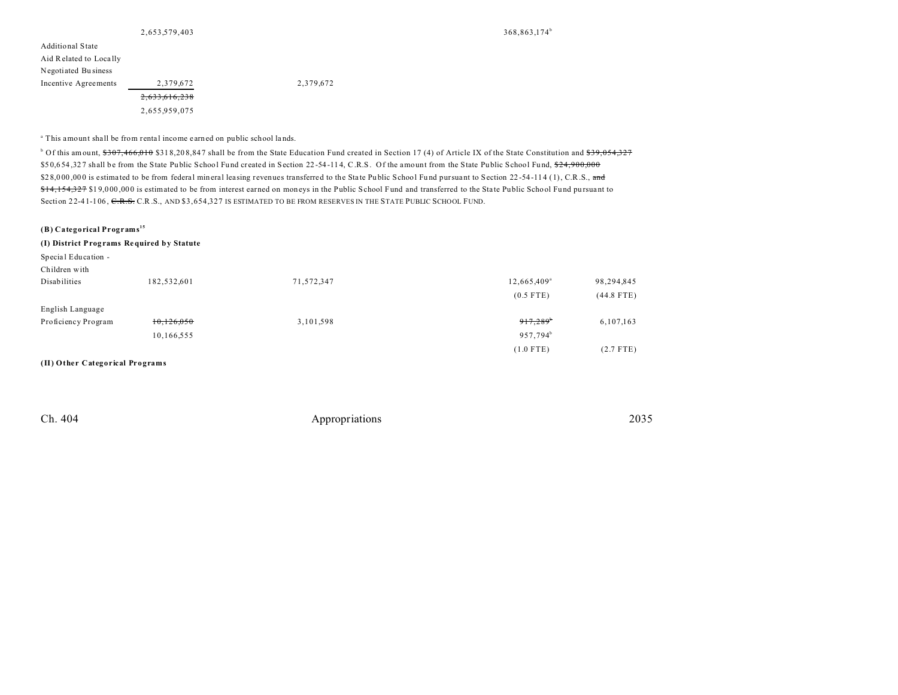| 2,653,579,403 |  |  |  |  |  |  |
|---------------|--|--|--|--|--|--|
|               |  |  |  |  |  |  |

368,863,174<sup>b</sup>

| - ,           |
|---------------|
|               |
|               |
|               |
| 2,379,672     |
| 2.633.616.238 |
| 2,655,959,075 |
|               |

Incentive Agreements 2,379,672 2,379,672

<sup>a</sup> This amount shall be from rental income earned on public school lands.

 $^{\circ}$  Of this amount, <del>\$307,466,010</del> \$318,208,847 shall be from the State Education Fund created in Section 17 (4) of Article IX of the State Constitution and <del>\$39,054,327</del> \$50,654,327 shall be from the State Public School Fund created in Section 22-54-114, C.R.S. Of the amount from the State Public School Fund, \$24,900,000 \$28,000,000 is estimated to be from federal mineral leasing revenues transferred to the State Public School Fund pursuant to Section 22-54-114 (1), C.R.S., and \$14,154,327 \$19,000,000 is estimated to be from interest earned on moneys in the Public School Fund and transferred to the State Public School Fund pursuant to Section 22-41-106, C.R.S. C.R.S., AND \$3,654,327 IS ESTIMATED TO BE FROM RESERVES IN THE STATE PUBLIC SCHOOL FUND.

**(B) Categorical Programs<sup>15</sup>**

**(I) District Prog rams Required by Statute**

| Special Education -<br>Children with |             |            |                         |              |
|--------------------------------------|-------------|------------|-------------------------|--------------|
| Disabilities                         | 182,532,601 | 71,572,347 | 12,665,409 <sup>a</sup> | 98,294,845   |
|                                      |             |            | $(0.5$ FTE)             | $(44.8$ FTE) |
| English Language                     |             |            |                         |              |
| Proficiency Program                  | 10,126,050  | 3,101,598  | 917,289                 | 6,107,163    |
|                                      | 10,166,555  |            | 957,794 <sup>b</sup>    |              |
|                                      |             |            | $(1.0$ FTE)             | $(2.7$ FTE)  |
| (II) Other Categorical Programs      |             |            |                         |              |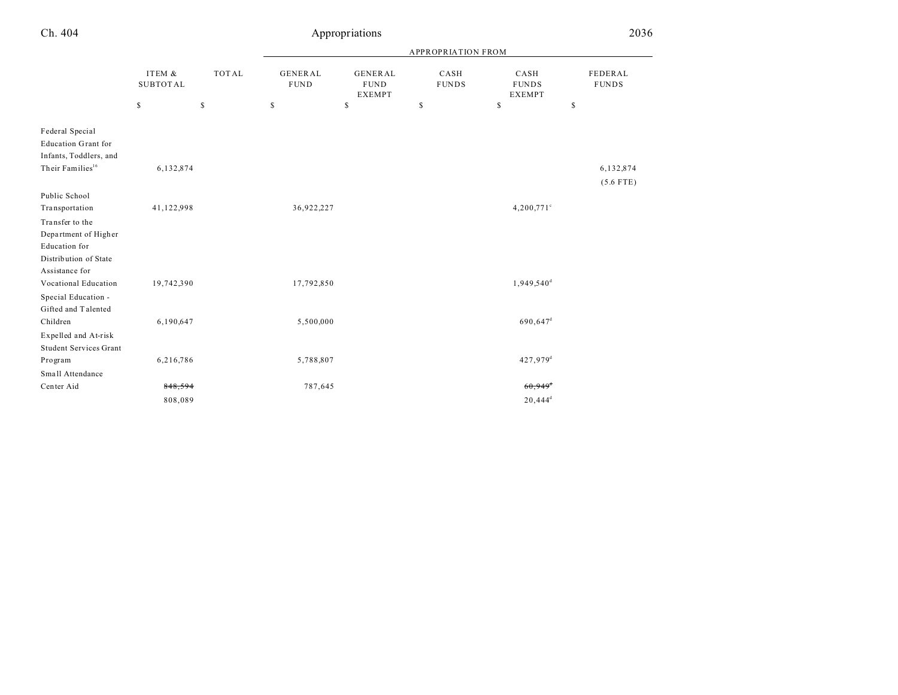| Ch. 404                                                                                                 | Appropriations            |              |                                |                                                |                      |                                       | 2036                    |
|---------------------------------------------------------------------------------------------------------|---------------------------|--------------|--------------------------------|------------------------------------------------|----------------------|---------------------------------------|-------------------------|
|                                                                                                         |                           |              |                                |                                                |                      |                                       |                         |
|                                                                                                         | ITEM &<br><b>SUBTOTAL</b> | <b>TOTAL</b> | <b>GENERAL</b><br>${\tt FUND}$ | <b>GENERAL</b><br><b>FUND</b><br><b>EXEMPT</b> | CASH<br><b>FUNDS</b> | CASH<br><b>FUNDS</b><br><b>EXEMPT</b> | FEDERAL<br><b>FUNDS</b> |
|                                                                                                         | \$                        | \$           | \$                             | $\mathsf S$                                    | \$                   | \$                                    | \$                      |
| Federal Special<br><b>Education Grant for</b><br>Infants, Toddlers, and<br>Their Families <sup>16</sup> | 6,132,874                 |              |                                |                                                |                      |                                       | 6,132,874               |
| Public School<br>Transportation                                                                         | 41,122,998                |              | 36,922,227                     |                                                |                      | $4,200,771$ <sup>c</sup>              | $(5.6$ FTE)             |
| Transfer to the<br>Department of Higher<br>Education for<br>Distribution of State<br>Assistance for     |                           |              |                                |                                                |                      |                                       |                         |
| Vocational Education                                                                                    | 19,742,390                |              | 17,792,850                     |                                                |                      | 1,949,540 <sup>d</sup>                |                         |
| Special Education -<br>Gifted and Talented                                                              |                           |              |                                |                                                |                      |                                       |                         |
| Children                                                                                                | 6,190,647                 |              | 5,500,000                      |                                                |                      | 690,647 <sup>d</sup>                  |                         |
| Expelled and At-risk<br><b>Student Services Grant</b>                                                   |                           |              |                                |                                                |                      |                                       |                         |
| Program                                                                                                 | 6,216,786                 |              | 5,788,807                      |                                                |                      | 427,979 <sup>d</sup>                  |                         |
| Small Attendance                                                                                        |                           |              |                                |                                                |                      |                                       |                         |
| Center Aid                                                                                              | 848,594                   |              | 787,645                        |                                                |                      | $60,949$ <sup>d</sup>                 |                         |

 $808,089$  20,444<sup>d</sup> 2008/089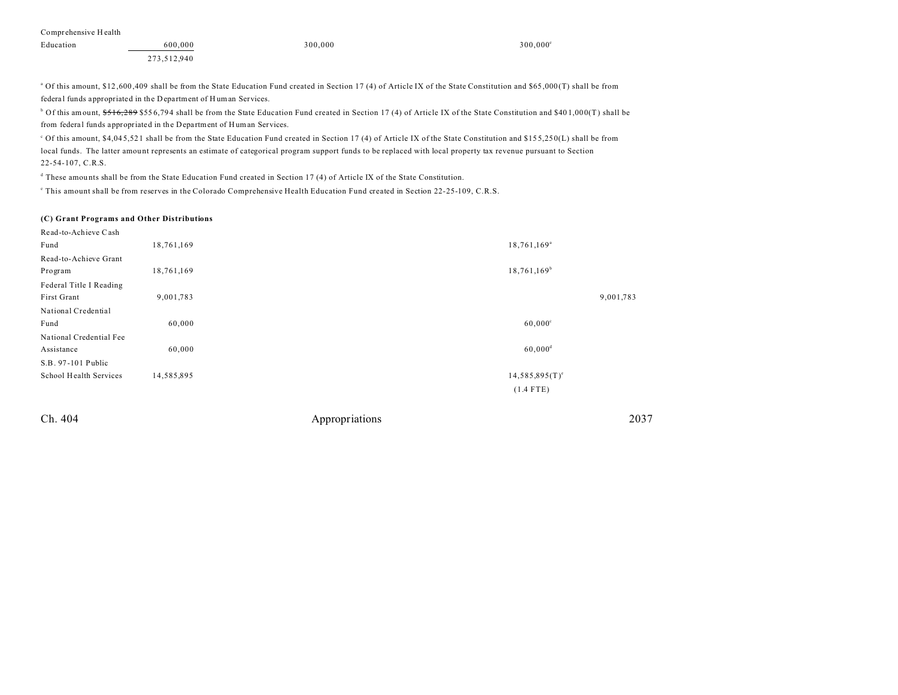| Education | 600,000     | 300,000 | 300,000 |
|-----------|-------------|---------|---------|
|           | 273,512,940 |         |         |

<sup>a</sup> Of this amount, \$12,600,409 shall be from the State Education Fund created in Section 17 (4) of Article IX of the State Constitution and \$65,000 (T) shall be from federal funds appropriated in the Department of Human Services.

 $^{\circ}$  Of this amount,  $$516,289$  \$556,794 shall be from the State Education Fund created in Section 17 (4) of Article IX of the State Constitution and \$401,000(T) shall be from federa l funds appropriated in the Depa rtment of H uman Services.

c Of this amount, \$4,04 5,52 1 shall be from the State Education Fund created in Section 17 (4) of Article IX of the State Constitution and \$15 5,25 0(L) shall be from local funds. The latter amou nt represents an estimate of categorical program support funds to be replaced with local property tax revenue pursuant to Section 22-54-107, C.R.S.

d These amou nts shall be from the State Education Fund created in Section 17 (4) of Article IX of the State Constitution.

e This amount shall be from reserves in the Colorado Comprehensive Health Education Fund created in Section 22-25-109, C.R.S.

#### **(C) Grant Programs and Other Distributions**

| Read-to-Achieve Cash    |            |                       |           |
|-------------------------|------------|-----------------------|-----------|
| Fund                    | 18,761,169 | $18,761,169^{\circ}$  |           |
| Read-to-Achieve Grant   |            |                       |           |
| Program                 | 18,761,169 | $18,761,169^b$        |           |
| Federal Title I Reading |            |                       |           |
| First Grant             | 9,001,783  |                       | 9,001,783 |
| National Credential     |            |                       |           |
| Fund                    | 60,000     | $60,000^{\circ}$      |           |
| National Credential Fee |            |                       |           |
| Assistance              | 60,000     | $60,000$ <sup>d</sup> |           |
| S.B. 97-101 Public      |            |                       |           |
| School Health Services  | 14,585,895 | $14,585,895(T)^e$     |           |
|                         |            | $(1.4$ FTE)           |           |
|                         |            |                       |           |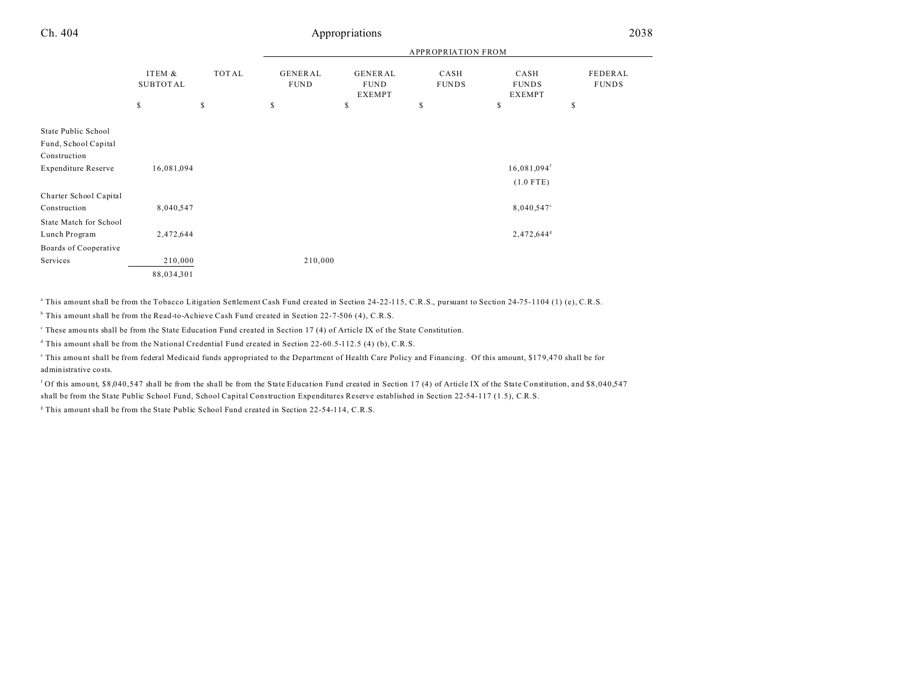| n | 404 |
|---|-----|
|   |     |

# Appropriations 2038

|                                                             |                           |       | <b>APPROPRIATION FROM</b> |                                  |                      |                                       |                         |  |
|-------------------------------------------------------------|---------------------------|-------|---------------------------|----------------------------------|----------------------|---------------------------------------|-------------------------|--|
|                                                             | ITEM &<br><b>SUBTOTAL</b> | TOTAL | GENERAL<br><b>FUND</b>    | GENERAL<br><b>FUND</b><br>EXEMPT | CASH<br><b>FUNDS</b> | CASH<br><b>FUNDS</b><br><b>EXEMPT</b> | FEDERAL<br><b>FUNDS</b> |  |
|                                                             | \$                        | \$    | \$                        | \$                               | \$                   | \$                                    | \$                      |  |
| State Public School<br>Fund, School Capital<br>Construction |                           |       |                           |                                  |                      |                                       |                         |  |
| <b>Expenditure Reserve</b>                                  | 16,081,094                |       |                           |                                  |                      | $16,081,094$ <sup>f</sup>             |                         |  |
|                                                             |                           |       |                           |                                  |                      | $(1.0$ FTE)                           |                         |  |
| Charter School Capital                                      |                           |       |                           |                                  |                      |                                       |                         |  |
| Construction                                                | 8,040,547                 |       |                           |                                  |                      | 8,040,547°                            |                         |  |
| State Match for School                                      |                           |       |                           |                                  |                      |                                       |                         |  |
| Lunch Program                                               | 2,472,644                 |       |                           |                                  |                      | 2,472,644 <sup>g</sup>                |                         |  |
| Boards of Cooperative                                       |                           |       |                           |                                  |                      |                                       |                         |  |
| Services                                                    | 210,000                   |       | 210,000                   |                                  |                      |                                       |                         |  |
|                                                             | 88,034,301                |       |                           |                                  |                      |                                       |                         |  |

a This amount shall be from the Tobacco Litigation Settlement Cash Fund created in Section 24-22-115, C.R.S., pursuant to Section 24-75-1104 (1) (e), C.R.S.

b This amount shall be from the Read-to-Achieve Cash Fund created in Section 22-7-506 (4), C.R.S.

These amounts shall be from the State Education Fund created in Section 17 (4) of Article IX of the State Constitution.

d This amount shall be from the National Credential Fund created in Section 22-60.5-112.5 (4) (b), C.R.S.

This amount shall be from federal Medicaid funds appropriated to the Department of Health Care Policy and Financing. Of this amount, \$179,470 shall be for administrative costs.

<sup>f</sup> Of this amount, \$8,040,547 shall be from the shall be from the State Education Fund created in Section 17 (4) of Article IX of the State Constitution, and \$8,040,547 shall be from the State Public School Fund, School Capital Construction Expenditures Reserve established in Section 22-54-117 (1.5), C.R.S.

<sup>g</sup> This amount shall be from the State Public School Fund created in Section 22-54-114, C.R.S.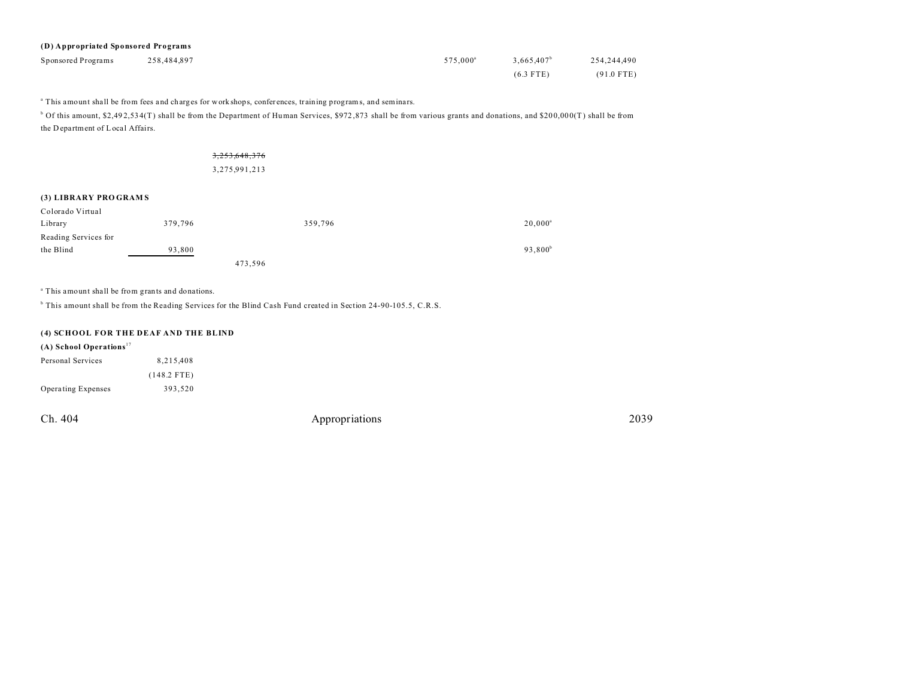| (D) Appropriated Sponsored Programs |             |                      |                        |              |  |  |
|-------------------------------------|-------------|----------------------|------------------------|--------------|--|--|
| Sponsored Programs                  | 258.484.897 | 575.000 <sup>a</sup> | 3.665.407 <sup>b</sup> | 254,244,490  |  |  |
|                                     |             |                      | $(6.3$ FTE)            | $(91.0$ FTE) |  |  |

<sup>a</sup> This amount shall be from fees and charges for work shops, conferences, training programs, and seminars.

 $^{\circ}$  Of this amount, \$2,492,534(T) shall be from the Department of Human Services, \$972,873 shall be from various grants and donations, and \$200,000(T) shall be from the D epartment of Local Affairs.

## 3,253,648,376

3,275,991,213

### **(3) LIBRARY PRO GRAM S**

| Colorado Virtual     |         |         |         |                     |
|----------------------|---------|---------|---------|---------------------|
| Library              | 379,796 |         | 359,796 | $20,000^{\circ}$    |
| Reading Services for |         |         |         |                     |
| the Blind            | 93,800  |         |         | 93,800 <sup>b</sup> |
|                      |         | 473,596 |         |                     |

a This amount shall be from grants and donations.

<sup>b</sup> This amount shall be from the Reading Services for the Blind Cash Fund created in Section 24-90-105.5, C.R.S.

### **(4) SCHOOL FOR THE DEAF AND THE BLIND**

## **(A) School Operations** <sup>17</sup>

| Personal Services  | 8.215.408     |
|--------------------|---------------|
|                    | $(148.2$ FTE) |
| Operating Expenses | 393.520       |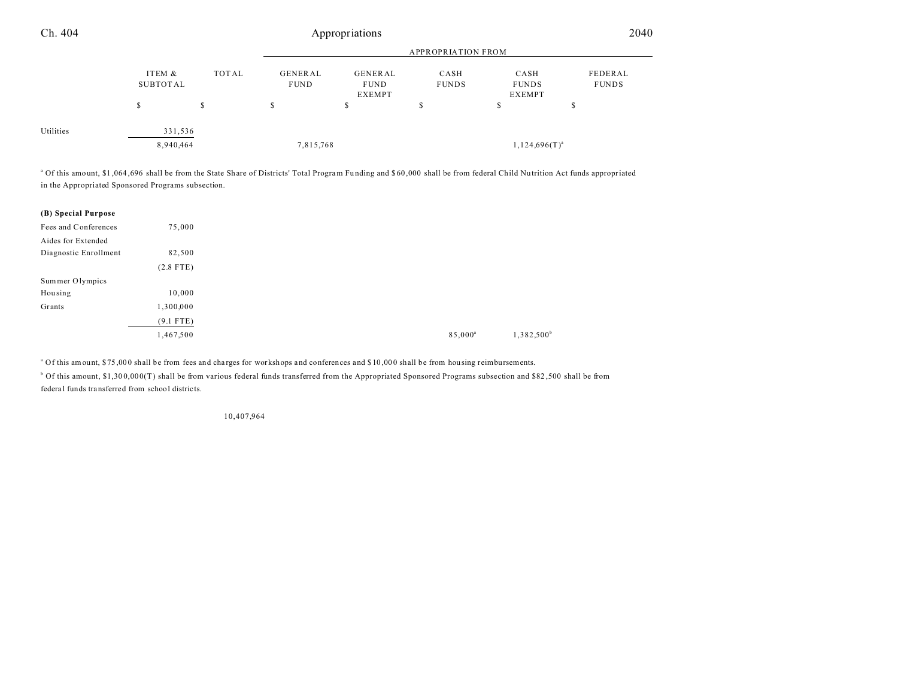| Ch. 404   |                    | Appropriations |                           |                                         |                      |                                       | 2040                    |  |
|-----------|--------------------|----------------|---------------------------|-----------------------------------------|----------------------|---------------------------------------|-------------------------|--|
|           |                    |                | <b>APPROPRIATION FROM</b> |                                         |                      |                                       |                         |  |
|           | ITEM &<br>SUBTOTAL | TOTAL          | GENERAL<br>FUND           | GENERAL<br><b>FUND</b><br><b>EXEMPT</b> | CASH<br><b>FUNDS</b> | CASH<br><b>FUNDS</b><br><b>EXEMPT</b> | FEDERAL<br><b>FUNDS</b> |  |
|           | S                  | ch<br>ъ        | \$                        | ch<br>Ъ                                 | \$                   | D                                     | D                       |  |
| Utilities | 331,536            |                |                           |                                         |                      |                                       |                         |  |
|           | 8,940,464          |                | 7,815,768                 |                                         |                      | $1,124,696(T)^{a}$                    |                         |  |

<sup>a</sup> Of this amount, \$1,064,696 shall be from the State Share of Districts' Total Program Funding and \$60,000 shall be from federal Child Nutrition Act funds appropriated in the Appropriated Sponsored Programs subsection.

| (B) Special Purpose   |             |
|-----------------------|-------------|
| Fees and Conferences  | 75,000      |
| Aides for Extended    |             |
| Diagnostic Enrollment | 82,500      |
|                       | $(2.8$ FTE) |
| Sum mer Olympics      |             |
| Housing               | 10,000      |
| Grants                | 1,300,000   |
|                       | $(9.1$ FTE) |
|                       | 1,467,500   |

<sup>a</sup> Of this amount, \$75,000 shall be from fees and charges for workshops and conferences and \$10,000 shall be from housing reimbursements.

b Of this amount, \$1,30 0,00 0(T) shall be from various federal funds transferred from the Appropriated Sponsored Programs subsection and \$82 ,500 shall be from federa l funds transferred from school districts.

10,407,964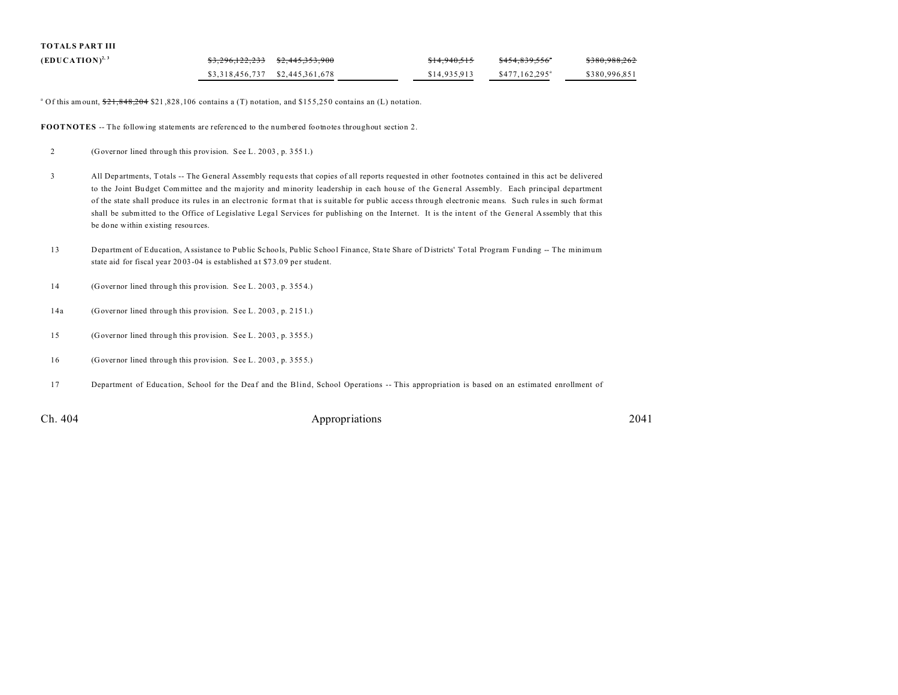| <b>TOTALS PART III</b> |                                   |              |                             |                              |
|------------------------|-----------------------------------|--------------|-----------------------------|------------------------------|
| $(EDUCATION)^{2,3}$    | $$3,296,122,233$ $$2,445,353,900$ | \$14.940.515 | <del>\$454.839.556</del> °  | 0.2000000000<br>3300,300,202 |
|                        | \$3,318,456,737 \$2,445,361,678   | \$14,935,913 | $$477.162.295$ <sup>a</sup> | \$380,996.851                |

<sup>a</sup> Of this amount,  $21,848,204$  \$21,828,106 contains a (T) notation, and \$155,250 contains an (L) notation.

**FOOTNOTES** -- The following statements are referenced to the numbered footnotes throughout section 2.

- 2 (Governor lined through this provision. See L. 20 03 , p. 355 1.)
- 3 All Departments, Totals -- The General Assembly requ ests that copies of all reports requested in other footnotes contained in this act be delivered to the Joint Budget Committee and the majority and minority leadership in each house of the General Assembly. Each principal department of the state shall produce its rules in an electronic format that is suitable for public access through electronic means. Such rules in such format shall be submitted to the Office of Legislative Legal Services for publishing on the Internet. It is the intent of the General Assembly that this be done within existing resources.
- 13 Department of Education, Assistance to Public Schools, Public School Finance, State Share of Districts' Total Program Funding -- The minimum state aid for fiscal year 2003-04 is established at \$73.09 per student.
- 14 (Governor lined through this provision. See L. 20 03 , p. 355 4.)
- 14a (Governor lined through this provision. See L. 20 03 , p. 215 1.)
- 15 (Governor lined through this provision. See L. 20 03 , p. 355 5.)
- 16 (Governor lined through this provision. See L. 20 03 , p. 355 5.)
- 17 Department of Education, School for the Deaf and the Blind, School Operations -- This appropriation is based on an estimated enrollment of